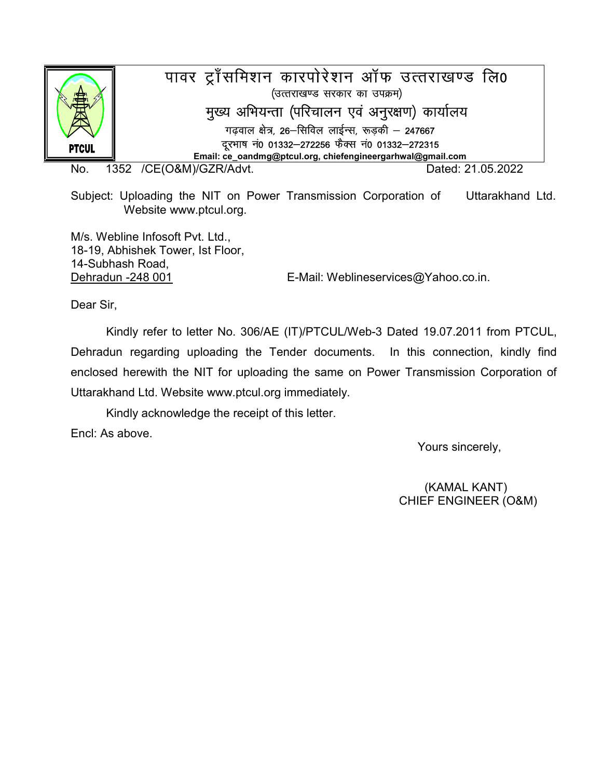

No. 1352 /CE(O&M)/GZR/Advt. Dated: 21.05.2022

Subject: Uploading the NIT on Power Transmission Corporation of Uttarakhand Ltd. Website www.ptcul.org.

M/s. Webline Infosoft Pvt. Ltd., 18-19, Abhishek Tower, Ist Floor, 14-Subhash Road,

Dehradun -248 001 E-Mail: Weblineservices@Yahoo.co.in.

Dear Sir,

 Kindly refer to letter No. 306/AE (IT)/PTCUL/Web-3 Dated 19.07.2011 from PTCUL, Dehradun regarding uploading the Tender documents. In this connection, kindly find enclosed herewith the NIT for uploading the same on Power Transmission Corporation of Uttarakhand Ltd. Website www.ptcul.org immediately.

Kindly acknowledge the receipt of this letter.

Encl: As above.

Yours sincerely,

(KAMAL KANT) CHIEF ENGINEER (O&M)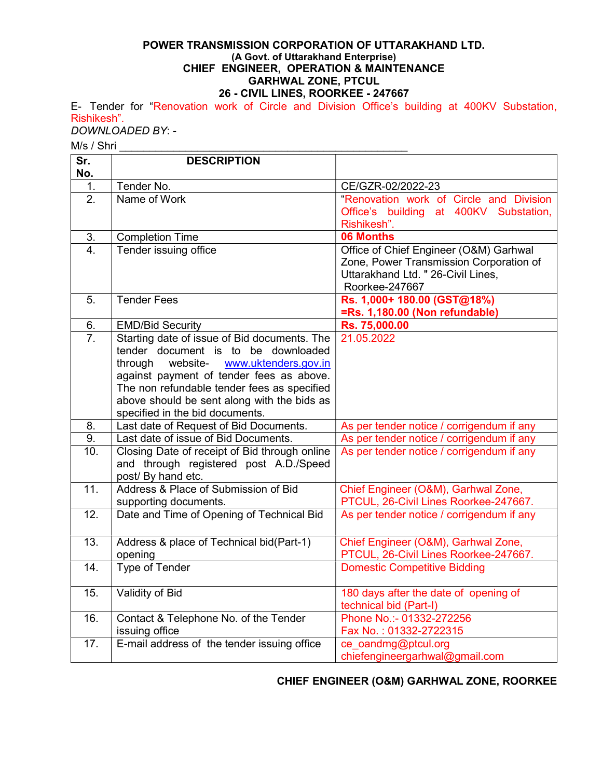#### POWER TRANSMISSION CORPORATION OF UTTARAKHAND LTD. (A Govt. of Uttarakhand Enterprise) CHIEF ENGINEER, OPERATION & MAINTENANCE GARHWAL ZONE, PTCUL 26 - CIVIL LINES, ROORKEE - 247667

E- Tender for "Renovation work of Circle and Division Office's building at 400KV Substation, Rishikesh".

DOWNLOADED BY: -

M/s / Shri

| No.<br>Tender No.<br>CE/GZR-02/2022-23<br>1.<br>$\overline{2}$ .<br>Name of Work<br>"Renovation work of Circle and Division<br>Office's building at 400KV Substation,<br>Rishikesh".<br>$\overline{3}$ .<br>06 Months<br><b>Completion Time</b><br>Tender issuing office<br>Office of Chief Engineer (O&M) Garhwal<br>4.<br>Zone, Power Transmission Corporation of<br>Uttarakhand Ltd. " 26-Civil Lines,<br>Roorkee-247667<br>Rs. 1,000+ 180.00 (GST@18%)<br><b>Tender Fees</b><br>5.<br>=Rs. 1,180.00 (Non refundable)<br>Rs. 75,000.00<br><b>EMD/Bid Security</b><br>6.<br>$\overline{7}$ .<br>Starting date of issue of Bid documents. The<br>21.05.2022<br>tender document is to be downloaded<br>through<br>website-<br>www.uktenders.gov.in<br>against payment of tender fees as above.<br>The non refundable tender fees as specified |
|-----------------------------------------------------------------------------------------------------------------------------------------------------------------------------------------------------------------------------------------------------------------------------------------------------------------------------------------------------------------------------------------------------------------------------------------------------------------------------------------------------------------------------------------------------------------------------------------------------------------------------------------------------------------------------------------------------------------------------------------------------------------------------------------------------------------------------------------------|
|                                                                                                                                                                                                                                                                                                                                                                                                                                                                                                                                                                                                                                                                                                                                                                                                                                               |
|                                                                                                                                                                                                                                                                                                                                                                                                                                                                                                                                                                                                                                                                                                                                                                                                                                               |
|                                                                                                                                                                                                                                                                                                                                                                                                                                                                                                                                                                                                                                                                                                                                                                                                                                               |
|                                                                                                                                                                                                                                                                                                                                                                                                                                                                                                                                                                                                                                                                                                                                                                                                                                               |
|                                                                                                                                                                                                                                                                                                                                                                                                                                                                                                                                                                                                                                                                                                                                                                                                                                               |
|                                                                                                                                                                                                                                                                                                                                                                                                                                                                                                                                                                                                                                                                                                                                                                                                                                               |
|                                                                                                                                                                                                                                                                                                                                                                                                                                                                                                                                                                                                                                                                                                                                                                                                                                               |
|                                                                                                                                                                                                                                                                                                                                                                                                                                                                                                                                                                                                                                                                                                                                                                                                                                               |
|                                                                                                                                                                                                                                                                                                                                                                                                                                                                                                                                                                                                                                                                                                                                                                                                                                               |
|                                                                                                                                                                                                                                                                                                                                                                                                                                                                                                                                                                                                                                                                                                                                                                                                                                               |
|                                                                                                                                                                                                                                                                                                                                                                                                                                                                                                                                                                                                                                                                                                                                                                                                                                               |
|                                                                                                                                                                                                                                                                                                                                                                                                                                                                                                                                                                                                                                                                                                                                                                                                                                               |
|                                                                                                                                                                                                                                                                                                                                                                                                                                                                                                                                                                                                                                                                                                                                                                                                                                               |
|                                                                                                                                                                                                                                                                                                                                                                                                                                                                                                                                                                                                                                                                                                                                                                                                                                               |
|                                                                                                                                                                                                                                                                                                                                                                                                                                                                                                                                                                                                                                                                                                                                                                                                                                               |
|                                                                                                                                                                                                                                                                                                                                                                                                                                                                                                                                                                                                                                                                                                                                                                                                                                               |
|                                                                                                                                                                                                                                                                                                                                                                                                                                                                                                                                                                                                                                                                                                                                                                                                                                               |
| above should be sent along with the bids as<br>specified in the bid documents.                                                                                                                                                                                                                                                                                                                                                                                                                                                                                                                                                                                                                                                                                                                                                                |
| 8.<br>Last date of Request of Bid Documents.<br>As per tender notice / corrigendum if any                                                                                                                                                                                                                                                                                                                                                                                                                                                                                                                                                                                                                                                                                                                                                     |
| 9.<br>Last date of issue of Bid Documents.<br>As per tender notice / corrigendum if any                                                                                                                                                                                                                                                                                                                                                                                                                                                                                                                                                                                                                                                                                                                                                       |
| 10.<br>Closing Date of receipt of Bid through online<br>As per tender notice / corrigendum if any                                                                                                                                                                                                                                                                                                                                                                                                                                                                                                                                                                                                                                                                                                                                             |
| and through registered post A.D./Speed                                                                                                                                                                                                                                                                                                                                                                                                                                                                                                                                                                                                                                                                                                                                                                                                        |
| post/ By hand etc.                                                                                                                                                                                                                                                                                                                                                                                                                                                                                                                                                                                                                                                                                                                                                                                                                            |
| Address & Place of Submission of Bid<br>11.<br>Chief Engineer (O&M), Garhwal Zone,                                                                                                                                                                                                                                                                                                                                                                                                                                                                                                                                                                                                                                                                                                                                                            |
| PTCUL, 26-Civil Lines Roorkee-247667.<br>supporting documents.                                                                                                                                                                                                                                                                                                                                                                                                                                                                                                                                                                                                                                                                                                                                                                                |
| Date and Time of Opening of Technical Bid<br>$\overline{12}$ .<br>As per tender notice / corrigendum if any                                                                                                                                                                                                                                                                                                                                                                                                                                                                                                                                                                                                                                                                                                                                   |
|                                                                                                                                                                                                                                                                                                                                                                                                                                                                                                                                                                                                                                                                                                                                                                                                                                               |
| 13.<br>Address & place of Technical bid(Part-1)<br>Chief Engineer (O&M), Garhwal Zone,                                                                                                                                                                                                                                                                                                                                                                                                                                                                                                                                                                                                                                                                                                                                                        |
| PTCUL, 26-Civil Lines Roorkee-247667.<br>opening                                                                                                                                                                                                                                                                                                                                                                                                                                                                                                                                                                                                                                                                                                                                                                                              |
| Type of Tender<br>14.<br><b>Domestic Competitive Bidding</b>                                                                                                                                                                                                                                                                                                                                                                                                                                                                                                                                                                                                                                                                                                                                                                                  |
|                                                                                                                                                                                                                                                                                                                                                                                                                                                                                                                                                                                                                                                                                                                                                                                                                                               |
| 15.<br>Validity of Bid<br>180 days after the date of opening of<br>technical bid (Part-I)                                                                                                                                                                                                                                                                                                                                                                                                                                                                                                                                                                                                                                                                                                                                                     |
| Phone No.:- 01332-272256<br>Contact & Telephone No. of the Tender<br>16.                                                                                                                                                                                                                                                                                                                                                                                                                                                                                                                                                                                                                                                                                                                                                                      |
| issuing office<br>Fax No.: 01332-2722315                                                                                                                                                                                                                                                                                                                                                                                                                                                                                                                                                                                                                                                                                                                                                                                                      |
| E-mail address of the tender issuing office<br>17.<br>ce_oandmg@ptcul.org                                                                                                                                                                                                                                                                                                                                                                                                                                                                                                                                                                                                                                                                                                                                                                     |
| chiefengineergarhwal@gmail.com                                                                                                                                                                                                                                                                                                                                                                                                                                                                                                                                                                                                                                                                                                                                                                                                                |

CHIEF ENGINEER (O&M) GARHWAL ZONE, ROORKEE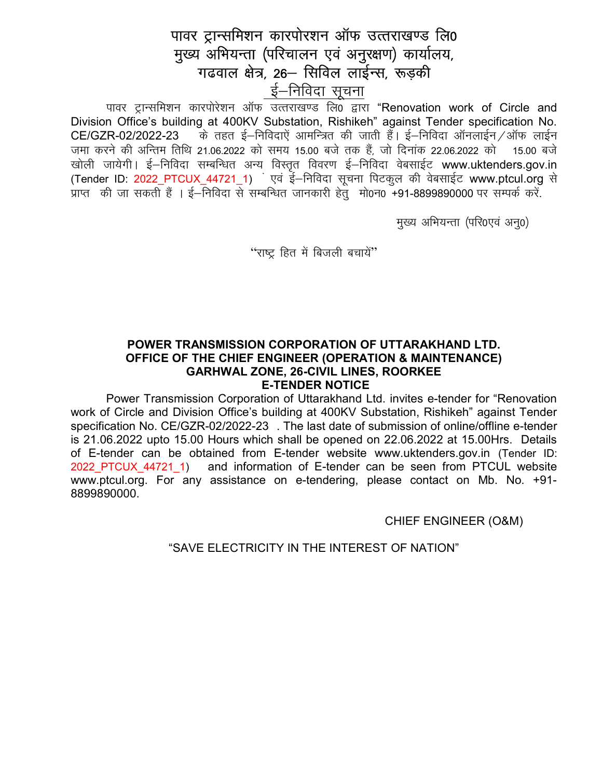# पावर ट्रान्समिशन कारपोरशन ऑफ उत्तराखण्ड लि0 मुख्य अभियन्ता (परिचालन एवं अनुरक्षण) कार्यालय, गढवाल क्षेत्र, 26– सिविल लाईन्स, रूड़की

ई–निविदा सूचना

पावर ट्रान्समिशन कारपोरेशन ऑफ उत्तराखण्ड लि0 द्वारा "Renovation work of Circle and Division Office's building at 400KV Substation, Rishikeh" against Tender specification No. के तहत ई–निविदाएं आमन्त्रित की जाती हैं। ई–निविदा ऑनलाईन ⁄ ऑफ लाईन CE/GZR-02/2022-23 जमा करने की अन्तिम तिथि 21.06.2022 को समय 15.00 बजे तक हैं, जो दिनांक 22.06.2022 को 15.00 बजे खोली जायेगी। ई–निविदा सम्बन्धित अन्य विस्तृत विवरण ई–निविदा वेबसाईट www.uktenders.gov.in (Tender ID: 2022\_PTCUX\_44721\_1) एवं ई–निविदा सूचना पिटकूल की वेबसाईट www.ptcul.org से प्राप्त की जा सकती हैं । ई—निविदा से सम्बन्धित जानकारी हेतुं मो0न0 +91-8899890000 पर सम्पर्क करें.

मुख्य अभियन्ता (परि0एवं अन्0)

"राष्ट्र हित में बिजली बचायें"

### POWER TRANSMISSION CORPORATION OF UTTARAKHAND LTD. OFFICE OF THE CHIEF ENGINEER (OPERATION & MAINTENANCE) **GARHWAL ZONE, 26-CIVIL LINES, ROORKEE E-TENDER NOTICE**

Power Transmission Corporation of Uttarakhand Ltd. invites e-tender for "Renovation work of Circle and Division Office's building at 400KV Substation, Rishikeh" against Tender specification No. CE/GZR-02/2022-23 . The last date of submission of online/offline e-tender is 21.06.2022 upto 15.00 Hours which shall be opened on 22.06.2022 at 15.00Hrs. Details of E-tender can be obtained from E-tender website www.uktenders.gov.in (Tender ID: 2022 PTCUX 44721 1) and information of E-tender can be seen from PTCUL website www.ptcul.org. For any assistance on e-tendering, please contact on Mb. No. +91-8899890000.

**CHIEF ENGINEER (O&M)** 

"SAVE FLECTRICITY IN THE INTEREST OF NATION"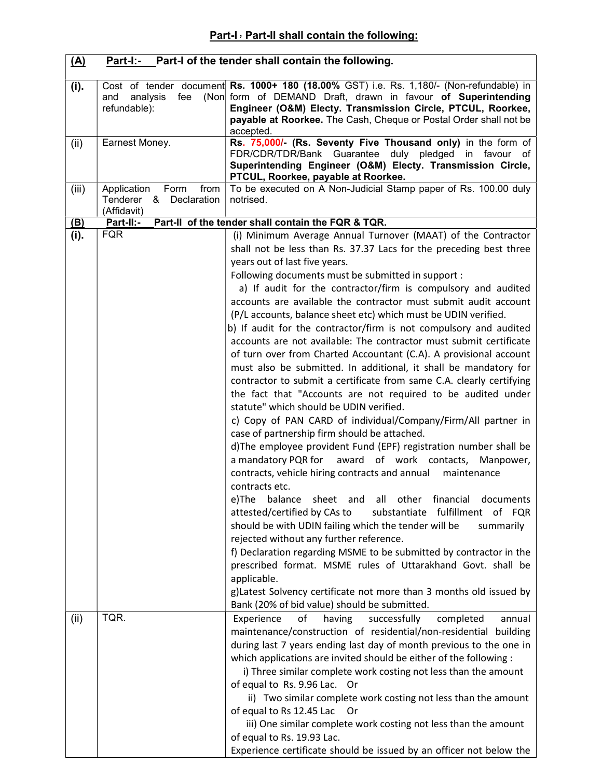| <u>(A)</u> |                                                                         | <b>Part-I:-</b> Part-I of the tender shall contain the following.                                                                                                                                                                                                                                                                                                                                                                                                                                                                                                                                                                                                                                                                                                                                                                                                                                                                                                                                                                                                                                                                                                                                                                                                                                                                                                                                                                                                                                                                                                                                                                                                                                                                           |
|------------|-------------------------------------------------------------------------|---------------------------------------------------------------------------------------------------------------------------------------------------------------------------------------------------------------------------------------------------------------------------------------------------------------------------------------------------------------------------------------------------------------------------------------------------------------------------------------------------------------------------------------------------------------------------------------------------------------------------------------------------------------------------------------------------------------------------------------------------------------------------------------------------------------------------------------------------------------------------------------------------------------------------------------------------------------------------------------------------------------------------------------------------------------------------------------------------------------------------------------------------------------------------------------------------------------------------------------------------------------------------------------------------------------------------------------------------------------------------------------------------------------------------------------------------------------------------------------------------------------------------------------------------------------------------------------------------------------------------------------------------------------------------------------------------------------------------------------------|
| (i).       | fee<br>and<br>analysis<br>refundable):                                  | Cost of tender document Rs. 1000+ 180 (18.00% GST) i.e. Rs. 1,180/- (Non-refundable) in<br>(Non form of DEMAND Draft, drawn in favour of Superintending<br>Engineer (O&M) Electy. Transmission Circle, PTCUL, Roorkee,<br>payable at Roorkee. The Cash, Cheque or Postal Order shall not be<br>accepted.                                                                                                                                                                                                                                                                                                                                                                                                                                                                                                                                                                                                                                                                                                                                                                                                                                                                                                                                                                                                                                                                                                                                                                                                                                                                                                                                                                                                                                    |
| (ii)       | Earnest Money.                                                          | Rs. 75,000/- (Rs. Seventy Five Thousand only) in the form of<br>FDR/CDR/TDR/Bank Guarantee duly pledged in favour of<br>Superintending Engineer (O&M) Electy. Transmission Circle,<br>PTCUL, Roorkee, payable at Roorkee.                                                                                                                                                                                                                                                                                                                                                                                                                                                                                                                                                                                                                                                                                                                                                                                                                                                                                                                                                                                                                                                                                                                                                                                                                                                                                                                                                                                                                                                                                                                   |
| (iii)      | Application<br>Form<br>from<br>Tenderer<br>& Declaration<br>(Affidavit) | To be executed on A Non-Judicial Stamp paper of Rs. 100.00 duly<br>notrised.                                                                                                                                                                                                                                                                                                                                                                                                                                                                                                                                                                                                                                                                                                                                                                                                                                                                                                                                                                                                                                                                                                                                                                                                                                                                                                                                                                                                                                                                                                                                                                                                                                                                |
| (B)        | Part-II:-                                                               | Part-II of the tender shall contain the FQR & TQR.                                                                                                                                                                                                                                                                                                                                                                                                                                                                                                                                                                                                                                                                                                                                                                                                                                                                                                                                                                                                                                                                                                                                                                                                                                                                                                                                                                                                                                                                                                                                                                                                                                                                                          |
| (i).       | <b>FQR</b>                                                              | (i) Minimum Average Annual Turnover (MAAT) of the Contractor<br>shall not be less than Rs. 37.37 Lacs for the preceding best three<br>years out of last five years.<br>Following documents must be submitted in support :<br>a) If audit for the contractor/firm is compulsory and audited<br>accounts are available the contractor must submit audit account<br>(P/L accounts, balance sheet etc) which must be UDIN verified.<br>b) If audit for the contractor/firm is not compulsory and audited<br>accounts are not available: The contractor must submit certificate<br>of turn over from Charted Accountant (C.A). A provisional account<br>must also be submitted. In additional, it shall be mandatory for<br>contractor to submit a certificate from same C.A. clearly certifying<br>the fact that "Accounts are not required to be audited under<br>statute" which should be UDIN verified.<br>c) Copy of PAN CARD of individual/Company/Firm/All partner in<br>case of partnership firm should be attached.<br>d)The employee provident Fund (EPF) registration number shall be<br>a mandatory PQR for award of work contacts, Manpower,<br>contracts, vehicle hiring contracts and annual<br>maintenance<br>contracts etc.<br>balance<br>sheet<br>all<br>financial<br>documents<br>e)The<br>and<br>other<br>fulfillment<br>attested/certified by CAs to<br>substantiate<br>of<br>FQR<br>should be with UDIN failing which the tender will be<br>summarily<br>rejected without any further reference.<br>f) Declaration regarding MSME to be submitted by contractor in the<br>prescribed format. MSME rules of Uttarakhand Govt. shall be<br>applicable.<br>g)Latest Solvency certificate not more than 3 months old issued by |
| (ii)       | TQR.                                                                    | Bank (20% of bid value) should be submitted.<br>Experience<br>successfully<br>of<br>having<br>completed<br>annual<br>maintenance/construction of residential/non-residential building<br>during last 7 years ending last day of month previous to the one in<br>which applications are invited should be either of the following :<br>i) Three similar complete work costing not less than the amount<br>of equal to Rs. 9.96 Lac. Or<br>ii) Two similar complete work costing not less than the amount<br>of equal to Rs 12.45 Lac<br>Or<br>iii) One similar complete work costing not less than the amount<br>of equal to Rs. 19.93 Lac.<br>Experience certificate should be issued by an officer not below the                                                                                                                                                                                                                                                                                                                                                                                                                                                                                                                                                                                                                                                                                                                                                                                                                                                                                                                                                                                                                           |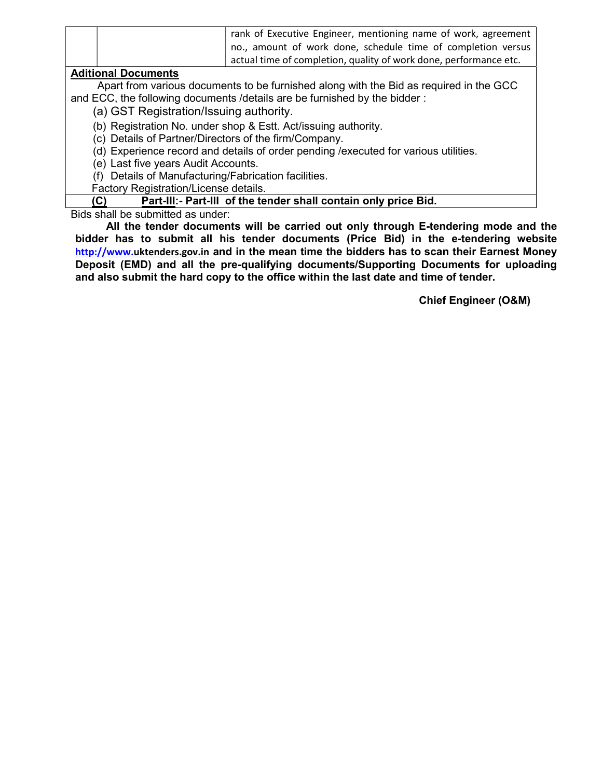| rank of Executive Engineer, mentioning name of work, agreement    |
|-------------------------------------------------------------------|
| no., amount of work done, schedule time of completion versus      |
| actual time of completion, quality of work done, performance etc. |

### Aditional Documents

Apart from various documents to be furnished along with the Bid as required in the GCC and ECC, the following documents /details are be furnished by the bidder :

(a) GST Registration/Issuing authority.

(b) Registration No. under shop & Estt. Act/issuing authority.

(c) Details of Partner/Directors of the firm/Company.

(d) Experience record and details of order pending /executed for various utilities.

(e) Last five years Audit Accounts.

(f) Details of Manufacturing/Fabrication facilities.

Factory Registration/License details.

#### (C) Part-III:- Part-III of the tender shall contain only price Bid.

Bids shall be submitted as under:

All the tender documents will be carried out only through E-tendering mode and the bidder has to submit all his tender documents (Price Bid) in the e-tendering website http://www.uktenders.gov.in and in the mean time the bidders has to scan their Earnest Money Deposit (EMD) and all the pre-qualifying documents/Supporting Documents for uploading and also submit the hard copy to the office within the last date and time of tender.

Chief Engineer (O&M)